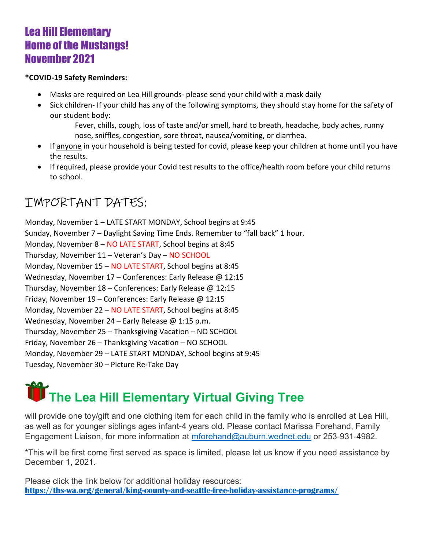## Lea Hill Elementary Home of the Mustangs! November 2021

#### \*COVID-19 Safety Reminders:

- Masks are required on Lea Hill grounds- please send your child with a mask daily
- Sick children- If your child has any of the following symptoms, they should stay home for the safety of our student body:

Fever, chills, cough, loss of taste and/or smell, hard to breath, headache, body aches, runny nose, sniffles, congestion, sore throat, nausea/vomiting, or diarrhea.

- If anyone in your household is being tested for covid, please keep your children at home until you have the results.
- If required, please provide your Covid test results to the office/health room before your child returns to school.

## IMPORTANT DATES:

Monday, November 1 – LATE START MONDAY, School begins at 9:45 Sunday, November 7 – Daylight Saving Time Ends. Remember to "fall back" 1 hour. Monday, November 8 – NO LATE START, School begins at 8:45 Thursday, November 11 – Veteran's Day – NO SCHOOL Monday, November 15 – NO LATE START, School begins at 8:45 Wednesday, November 17 – Conferences: Early Release @ 12:15 Thursday, November 18 – Conferences: Early Release @ 12:15 Friday, November 19 – Conferences: Early Release @ 12:15 Monday, November 22 – NO LATE START, School begins at 8:45 Wednesday, November 24 – Early Release @ 1:15 p.m. Thursday, November 25 – Thanksgiving Vacation – NO SCHOOL Friday, November 26 – Thanksgiving Vacation – NO SCHOOL Monday, November 29 – LATE START MONDAY, School begins at 9:45 Tuesday, November 30 – Picture Re-Take Day

# The Lea Hill Elementary Virtual Giving Tree

will provide one toy/gift and one clothing item for each child in the family who is enrolled at Lea Hill, as well as for younger siblings ages infant-4 years old. Please contact Marissa Forehand, Family Engagement Liaison, for more information at mforehand@auburn.wednet.edu or 253-931-4982.

\*This will be first come first served as space is limited, please let us know if you need assistance by December 1, 2021.

Please click the link below for additional holiday resources: https://ths-wa.org/general/king-county-and-seattle-free-holiday-assistance-programs/